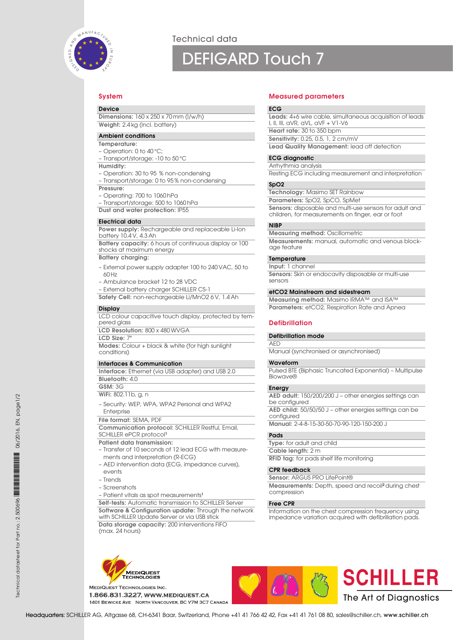

### Technical data

## DEFIGARD Touch 7

#### Device

Dimensions: 160 x 250 x 70 mm (l/w/h) Weight: 2.4 kg (incl. battery)

#### Ambient conditions

- Temperature:
- Operation: 0 to 40 °C;
- Transport/storage: -10 to 50 °C
- Humidity:
- Operation: 30 to 95 % non-condensing
- Transport/storage: 0 to 95 % non-condensing
- Pressure:
- Operating: 700 to 1060 hPa
- Transport/storage: 500 to 1060 hPa
- Dust and water protection: IP55

#### Electrical data

Power supply: Rechargeable and replaceable Li-Ion battery 10.4 V, 4.3 Ah

Battery capacity: 6 hours of continuous display or 100 shocks at maximum energy

#### Battery charging:

- External power supply adapter 100 to 240 VAC, 50 to 60 Hz
- Ambulance bracket 12 to 28 VDC
- External battery charger SCHILLER CS-1

Safety Cell: non-rechargeable Li/MnO2 6V, 1.4 Ah

#### Display

LCD colour capacitive touch display, protected by tempered glass

LCD Resolution: 800 x 480 WVGA

LCD Size: 7'

Modes: Colour + black & white (for high sunlight conditions)

#### Interfaces & Communication

Interface: Ethernet (via USB adapter) and USB 2.0 Bluetooth: 4.0

GSM: 3G WiFi: 802.11b, g, n

– Security: WEP, WPA, WPA2 Personal and WPA2 Enterprise

File format: SEMA, PDF

Communication protocol: SCHILLER Restful, Email, SCHILLER ePCR protocol<sup>1</sup>

#### Patient data transmission:

- Transfer of 10 seconds of 12 lead ECG with measurements and interpretation (R-ECG)
- AED intervention data (ECG, impedance curves), events
- Trends
- Screenshots
- Patient vitals as spot measurements<sup>1</sup>

Self-tests: Automatic transmission to SCHILLER Server Software & Configuration update: Through the network with SCHILLER Update Server or via USB stick Data storage capacity: 200 interventions FIFO (max. 24 hours)

# MEDIQUEST<br>TECHNOLOGIES

MEDIQUEST TECHNOLOGIES INC. 1.866.831.3227, WWW.MEDIQUEST.CA 1401 BEWICKE AVE NORTH VANCOUVER, BC V7M 3C7 CANADA

#### System **Measured parameters**

#### **ECG**

Leads: 4+6 wire cable, simultaneous acquisition of leads I, II, III, aVR, aVL, aVF + V1-V6 Heart rate: 30 to 350 bpm

Sensitivity: 0.25, 0.5, 1, 2 cm/mV

Lead Quality Management: lead off detection

#### ECG diagnostic

#### Arrhythmia analysis

Resting ECG including measurement and interpretation

#### SpO2

Technology: Masimo SET Rainbow

Parameters: SpO2, SpCO, SpMet

Sensors: disposable and multi-use sensors for adult and children, for measurements on finger, ear or foot

#### NIBP

Measuring method: Oscillometric Measurements: manual, automatic and venous blockage feature

#### **Temperature**

Input: 1 channel

Sensors: Skin or endocavity disposable or multi-use sensors

#### etCO2 Mainstream and sidestream

Measuring method: Masimo IRMA™ and ISA™ Parameters: etCO2, Respiration Rate and Apnea

#### Defibrillation

#### Defibrillation mode

AED Manual (synchronised or asynchronised)

#### Waveform

Pulsed BTE (Biphasic Truncated Exponential) – Multipulse Biowave®

#### **Energy**

AED adult: 150/200/200 J – other energies settings can be configured

AED child: 50/50/50 J – other energies settings can be configured

Manual: 2-4-8-15-30-50-70-90-120-150-200 J

#### Pads

Type: for adult and child Cable length: 2 m RFID tag: for pads shelf life monitoring

#### CPR feedback

Sensor: ARGUS PRO LifePoint®

Measurements: Depth, speed and recoil<sup>2</sup> during chest compression

#### Free CPR

Information on the chest compression frequency using impedance variation acquired with defibrillation pads.



SCHILLER